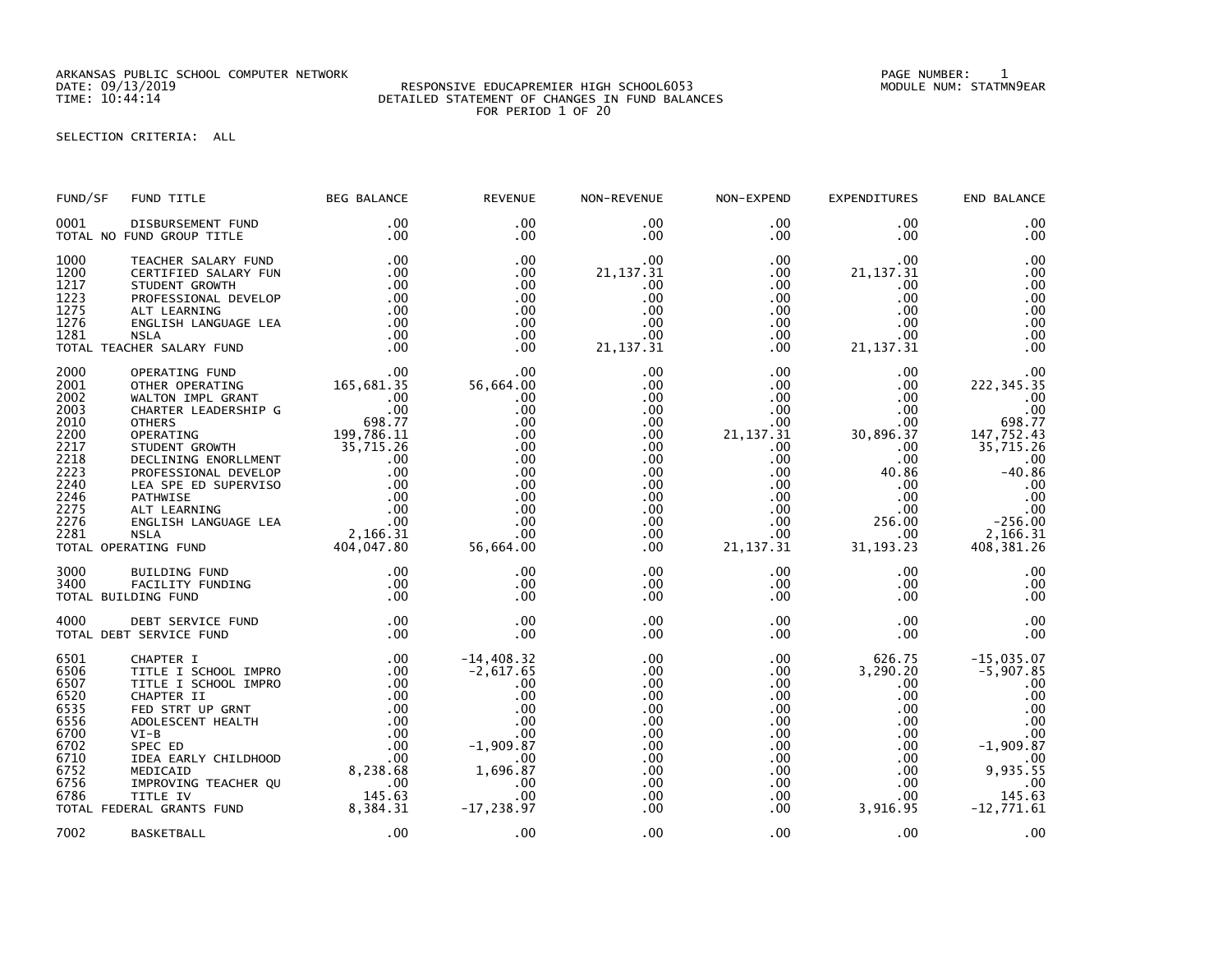ARKANSAS PUBLIC SCHOOL COMPUTER NETWORK PAGE NUMBER: 1

## DATE: 09/13/2019 RESPONSIVE EDUCAPREMIER HIGH SCHOOL6053 MODULE NUM: STATMN9EAR TIME: 10:44:14 DETAILED STATEMENT OF CHANGES IN FUND BALANCES FOR PERIOD 1 OF 20

## SELECTION CRITERIA: ALL

| FUND/SF                                                                                                      | FUND TITLE                                                                                                                                                                                                                                                                                                                                                                    | <b>BEG BALANCE</b>                                   | <b>REVENUE</b>                                                                                                                  | NON-REVENUE                                                                                                                                        | NON-EXPEND                                                                                                                                                                         | <b>EXPENDITURES</b>                                                                                                                                                             | END BALANCE                                                                                                                                                  |
|--------------------------------------------------------------------------------------------------------------|-------------------------------------------------------------------------------------------------------------------------------------------------------------------------------------------------------------------------------------------------------------------------------------------------------------------------------------------------------------------------------|------------------------------------------------------|---------------------------------------------------------------------------------------------------------------------------------|----------------------------------------------------------------------------------------------------------------------------------------------------|------------------------------------------------------------------------------------------------------------------------------------------------------------------------------------|---------------------------------------------------------------------------------------------------------------------------------------------------------------------------------|--------------------------------------------------------------------------------------------------------------------------------------------------------------|
| 0001                                                                                                         | DISBURSEMENT FUND<br>TOTAL NO FUND GROUP TITLE                                                                                                                                                                                                                                                                                                                                | .00<br>.00                                           | .00<br>$.00 \,$                                                                                                                 | $.00 \,$<br>$.00 \,$                                                                                                                               | $.00 \,$<br>$.00 \,$                                                                                                                                                               | .00<br>$.00 \,$                                                                                                                                                                 | .00<br>.00                                                                                                                                                   |
| 1000<br>1200<br>1217<br>1223<br>1275<br>1276<br>1281                                                         | TEACHER SALARY FUND<br>CERTIFIED SALARY FUN<br>STUDENT GROWTH<br>PROFESSIONAL DEVELOP<br>ALT LEARNING<br>ENGLISH LANGUAGE LEA<br><b>NSLA</b><br>TOTAL TEACHER SALARY FUND                                                                                                                                                                                                     | .00<br>.00<br>.00<br>.00<br>.00<br>.00<br>.00<br>.00 | .00<br>$.00 \,$<br>.00<br>.00<br>.00<br>.00<br>$.00 \,$<br>$.00 \times$                                                         | $.00 \,$<br>21, 137. 31<br>.00<br>.00<br>.00<br>.00<br>.00<br>21, 137.31                                                                           | $.00 \,$<br>$.00 \,$<br>$.00 \,$<br>.00<br>$.00 \,$<br>.00<br>$.00 \,$<br>$.00 \,$                                                                                                 | .00<br>21, 137.31<br>.00<br>.00<br>.00<br>.00<br>.00.<br>21, 137.31                                                                                                             | .00<br>.00<br>.00<br>.00<br>.00<br>.00<br>.00<br>.00                                                                                                         |
| 2000<br>2001<br>2002<br>2003<br>2010<br>2200<br>2217<br>2218<br>2223<br>2240<br>2246<br>2275<br>2276<br>2281 | OPERATING FUND<br>OTHER OPERATING<br>WALTON IMPL GRANT<br>CHARTER LEADERSHIP G<br><b>OTHERS</b><br>OTHERS<br>OPERATING 199,786.11<br>STUDENT GROWTH 35,715.26<br>DECLINING ENORLLMENT 00<br>PROFESSIONAL DEVELOP 00<br>LEA SPE ED SUPERVISO 00<br>PATHWISE 00<br>ALT LEARNING 00<br>ENGLISH LANGUAGE LEA 00<br>NSLA 2,166.31<br>RATING FUND 404,047.8<br>TOTAL OPERATING FUND | 00.<br>165,681.35<br>$00$<br>00.<br>098.77<br>100.98 | .00<br>56,664.00<br>.00<br>.00<br>$.00 \times$<br>.00<br>.00<br>.00<br>.00<br>.00<br>.00<br>.00<br>.00<br>00 .<br>56,664 .00    | .00<br>.00<br>$.00 \,$<br>.00<br>$.00 \,$<br>.00<br>$.00 \,$<br>$.00 \,$<br>$.00 \,$<br>$.00 \,$<br>.00<br>.00<br>$.00 \,$<br>$.00 \,$<br>$.00 \,$ | $.00 \,$<br>$.00 \,$<br>$.00 \cdot$<br>.00<br>$.00 \,$<br>21, 137.31<br>$.00 \,$<br>$.00 \,$<br>$.00 \,$<br>$.00 \,$<br>$.00 \,$<br>$.00 \,$<br>$.00 \,$<br>$.00 \,$<br>21, 137.31 | .00<br>$.00 \,$<br>$.00 \cdot$<br>$.00 \times$<br>$.00 \cdot$<br>30,896.37<br>$.00 \,$<br>$.00 \,$<br>40.86<br>.00<br>$.00 \,$<br>$.00 \,$<br>256.00<br>$.00 \,$<br>31, 193. 23 | .00<br>222, 345.35<br>.00<br>.00<br>698.77<br>147,752.43<br>35,715.26<br>.00<br>$-40.86$<br>$\overset{.}{.}00$<br>.00<br>$-256.00$<br>2,166.31<br>408,381.26 |
| 3000<br>3400                                                                                                 | BUILDING FUND<br>FACILITY FUNDING<br>TOTAL BUILDING FUND                                                                                                                                                                                                                                                                                                                      | .00<br>.00<br>.00                                    | .00<br>.00<br>.00                                                                                                               | $.00 \,$<br>$.00 \,$<br>.00                                                                                                                        | $.00 \,$<br>$.00 \,$<br>$.00 \,$                                                                                                                                                   | $.00 \,$<br>$.00 \,$<br>.00                                                                                                                                                     | .00<br>.00<br>.00                                                                                                                                            |
| 4000                                                                                                         | DEBT SERVICE FUND<br>TOTAL DEBT SERVICE FUND                                                                                                                                                                                                                                                                                                                                  | .00<br>.00                                           | .00<br>.00                                                                                                                      | .00<br>.00                                                                                                                                         | $.00 \,$<br>$.00 \,$                                                                                                                                                               | $.00 \,$<br>$.00 \,$                                                                                                                                                            | .00<br>.00                                                                                                                                                   |
| 6501<br>6506<br>6507<br>6520<br>6535<br>6556<br>6700<br>6702<br>6710<br>6752<br>6756<br>6786                 | CHAPTER I<br>TITLE I SCHOOL IMPRO<br>TITLE I SCHOOL IMPRO<br>CHAPTER II<br>FED STRT UP GRNT<br>ADOLESCENT HEALTH<br>$VI-B$<br>SPEC ED<br>IDEA EARLY CHILDHOOD<br>MEDICAID<br>IMPROVING TEACHER QU<br>TITLE IV<br>0780 1491.03<br>TOTAL FEDERAL GRANTS FUND 8,384.31                                                                                                           | .00<br>.00                                           | $-14,408.32$<br>$-2,617.65$<br>.00<br>.00<br>.00<br>.00<br>.00<br>$-1,909.87$<br>.00<br>1,696.87<br>.00<br>.00<br>$-17, 238.97$ | .00<br>.00<br>.00<br>.00<br>.00<br>.00<br>.00<br>.00<br>$.00 \,$<br>$.00 \,$<br>.00<br>$.00 \,$<br>$.00 \,$                                        | $.00 \,$<br>.00<br>$.00 \,$<br>$.00 \,$<br>.00<br>$.00 \,$<br>$.00 \,$<br>$.00 \,$<br>$.00 \,$<br>.00<br>$.00\,$<br>$.00 \,$<br>.00                                                | 626.75<br>3,290.20<br>.00<br>$.00 \,$<br>$.00 \cdot$<br>$.00 \,$<br>$.00 \,$<br>$.00 \,$<br>$.00 \,$<br>$.00 \,$<br>$.00 \,$<br>$.00 \,$<br>3,916.95                            | $-15,035.07$<br>$-5,907.85$<br>.00<br>.00<br>.00<br>.00<br>.00<br>$-1,909.87$<br>.00<br>9,935.55<br>.00<br>145.63<br>$-12,771.61$                            |
| 7002                                                                                                         | BASKETBALL                                                                                                                                                                                                                                                                                                                                                                    | .00                                                  | .00                                                                                                                             | .00                                                                                                                                                | $.00 \,$                                                                                                                                                                           | .00                                                                                                                                                                             | .00                                                                                                                                                          |